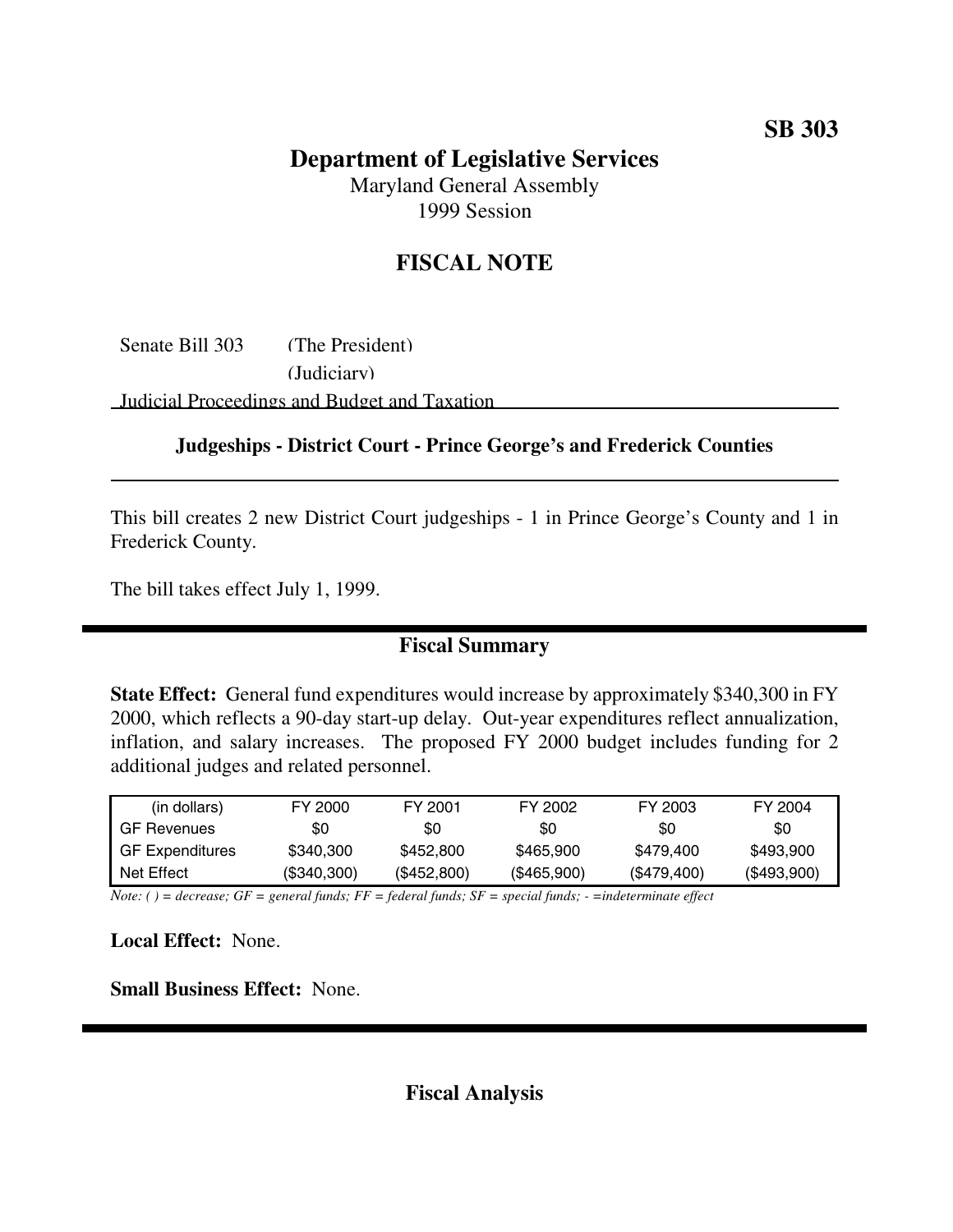## **Department of Legislative Services**

Maryland General Assembly 1999 Session

## **FISCAL NOTE**

Senate Bill 303 (The President) (Judiciary) Judicial Proceedings and Budget and Taxation

## **Judgeships - District Court - Prince George's and Frederick Counties**

This bill creates 2 new District Court judgeships - 1 in Prince George's County and 1 in Frederick County.

The bill takes effect July 1, 1999.

## **Fiscal Summary**

**State Effect:** General fund expenditures would increase by approximately \$340,300 in FY 2000, which reflects a 90-day start-up delay. Out-year expenditures reflect annualization, inflation, and salary increases. The proposed FY 2000 budget includes funding for 2 additional judges and related personnel.

| (in dollars)           | FY 2000     | FY 2001     | FY 2002     | FY 2003     | FY 2004     |
|------------------------|-------------|-------------|-------------|-------------|-------------|
| <b>GF Revenues</b>     | \$0         | \$0         | \$0         | \$0         | \$0         |
| <b>GF Expenditures</b> | \$340,300   | \$452,800   | \$465,900   | \$479.400   | \$493.900   |
| Net Effect             | (\$340,300) | (\$452,800) | (\$465,900) | (\$479,400) | (\$493,900) |

Note: () = decrease; GF = general funds; FF = federal funds; SF = special funds; - = indeterminate effect

**Local Effect:** None.

**Small Business Effect:** None.